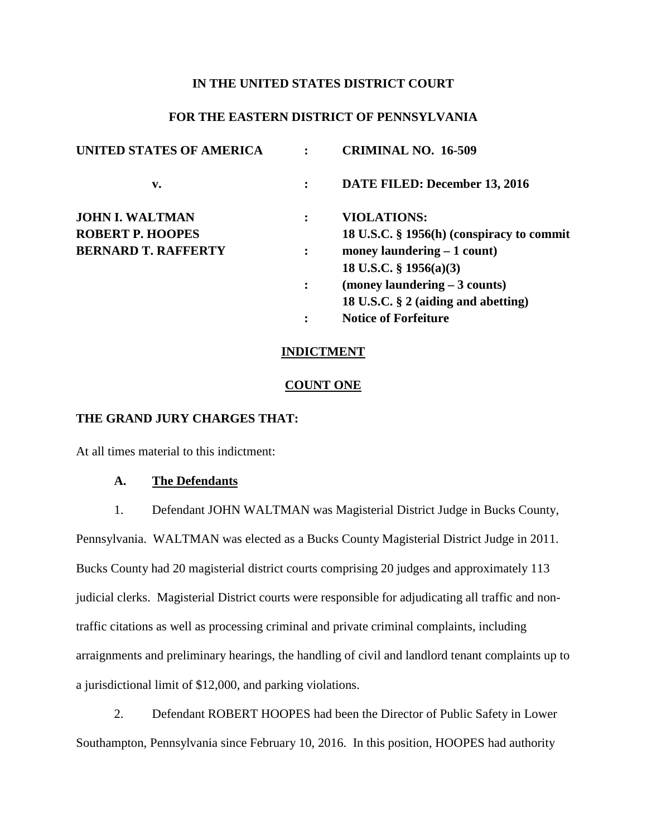#### **IN THE UNITED STATES DISTRICT COURT**

## **FOR THE EASTERN DISTRICT OF PENNSYLVANIA**

| <b>UNITED STATES OF AMERICA</b> |                | <b>CRIMINAL NO. 16-509</b>                |
|---------------------------------|----------------|-------------------------------------------|
| v.                              |                | DATE FILED: December 13, 2016             |
| <b>JOHN I. WALTMAN</b>          |                | <b>VIOLATIONS:</b>                        |
| <b>ROBERT P. HOOPES</b>         |                | 18 U.S.C. § 1956(h) (conspiracy to commit |
| <b>BERNARD T. RAFFERTY</b>      | $\ddot{\cdot}$ | money laundering $-1$ count)              |
|                                 |                | 18 U.S.C. $\S$ 1956(a)(3)                 |
|                                 | $\ddot{\cdot}$ | $(money \, landing - 3 \, counts)$        |
|                                 |                | 18 U.S.C. § 2 (aiding and abetting)       |
|                                 |                | <b>Notice of Forfeiture</b>               |

### **INDICTMENT**

#### **COUNT ONE**

### **THE GRAND JURY CHARGES THAT:**

At all times material to this indictment:

#### **A. The Defendants**

1. Defendant JOHN WALTMAN was Magisterial District Judge in Bucks County,

Pennsylvania. WALTMAN was elected as a Bucks County Magisterial District Judge in 2011. Bucks County had 20 magisterial district courts comprising 20 judges and approximately 113 judicial clerks. Magisterial District courts were responsible for adjudicating all traffic and nontraffic citations as well as processing criminal and private criminal complaints, including arraignments and preliminary hearings, the handling of civil and landlord tenant complaints up to a jurisdictional limit of \$12,000, and parking violations.

2. Defendant ROBERT HOOPES had been the Director of Public Safety in Lower Southampton, Pennsylvania since February 10, 2016. In this position, HOOPES had authority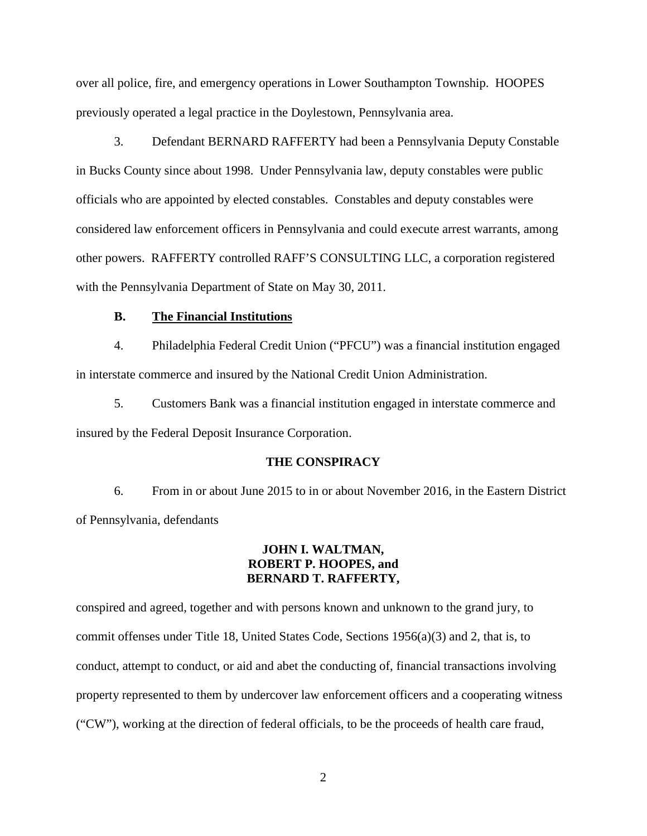over all police, fire, and emergency operations in Lower Southampton Township. HOOPES previously operated a legal practice in the Doylestown, Pennsylvania area.

3. Defendant BERNARD RAFFERTY had been a Pennsylvania Deputy Constable in Bucks County since about 1998. Under Pennsylvania law, deputy constables were public officials who are appointed by elected constables. Constables and deputy constables were considered law enforcement officers in Pennsylvania and could execute arrest warrants, among other powers. RAFFERTY controlled RAFF'S CONSULTING LLC, a corporation registered with the Pennsylvania Department of State on May 30, 2011.

#### **B. The Financial Institutions**

4. Philadelphia Federal Credit Union ("PFCU") was a financial institution engaged in interstate commerce and insured by the National Credit Union Administration.

5. Customers Bank was a financial institution engaged in interstate commerce and insured by the Federal Deposit Insurance Corporation.

#### **THE CONSPIRACY**

6. From in or about June 2015 to in or about November 2016, in the Eastern District of Pennsylvania, defendants

### **JOHN I. WALTMAN, ROBERT P. HOOPES, and BERNARD T. RAFFERTY,**

conspired and agreed, together and with persons known and unknown to the grand jury, to commit offenses under Title 18, United States Code, Sections 1956(a)(3) and 2, that is, to conduct, attempt to conduct, or aid and abet the conducting of, financial transactions involving property represented to them by undercover law enforcement officers and a cooperating witness ("CW"), working at the direction of federal officials, to be the proceeds of health care fraud,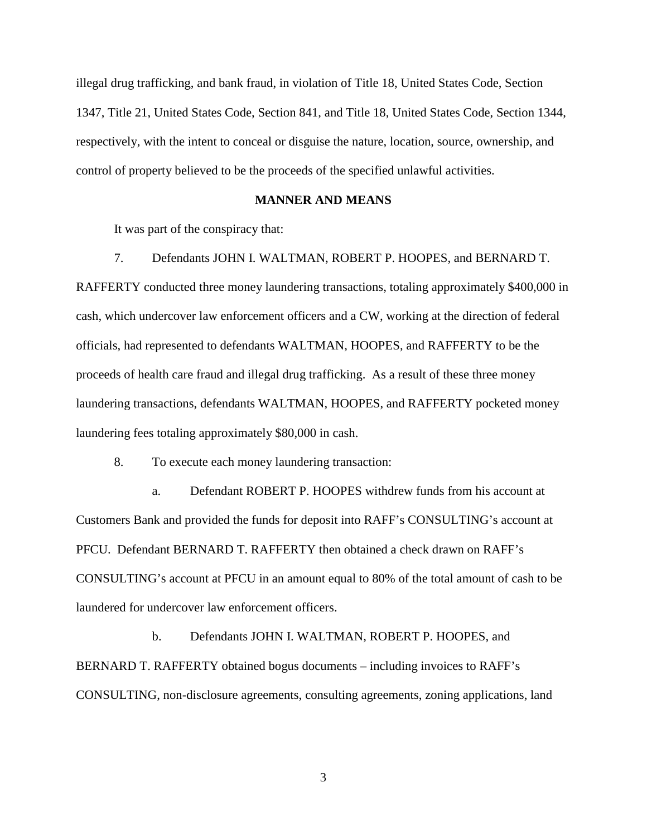illegal drug trafficking, and bank fraud, in violation of Title 18, United States Code, Section 1347, Title 21, United States Code, Section 841, and Title 18, United States Code, Section 1344, respectively, with the intent to conceal or disguise the nature, location, source, ownership, and control of property believed to be the proceeds of the specified unlawful activities.

### **MANNER AND MEANS**

It was part of the conspiracy that:

#### 7. Defendants JOHN I. WALTMAN, ROBERT P. HOOPES, and BERNARD T.

RAFFERTY conducted three money laundering transactions, totaling approximately \$400,000 in cash, which undercover law enforcement officers and a CW, working at the direction of federal officials, had represented to defendants WALTMAN, HOOPES, and RAFFERTY to be the proceeds of health care fraud and illegal drug trafficking. As a result of these three money laundering transactions, defendants WALTMAN, HOOPES, and RAFFERTY pocketed money laundering fees totaling approximately \$80,000 in cash.

8. To execute each money laundering transaction:

a. Defendant ROBERT P. HOOPES withdrew funds from his account at Customers Bank and provided the funds for deposit into RAFF's CONSULTING's account at PFCU. Defendant BERNARD T. RAFFERTY then obtained a check drawn on RAFF's CONSULTING's account at PFCU in an amount equal to 80% of the total amount of cash to be laundered for undercover law enforcement officers.

b. Defendants JOHN I. WALTMAN, ROBERT P. HOOPES, and BERNARD T. RAFFERTY obtained bogus documents – including invoices to RAFF's CONSULTING, non-disclosure agreements, consulting agreements, zoning applications, land

3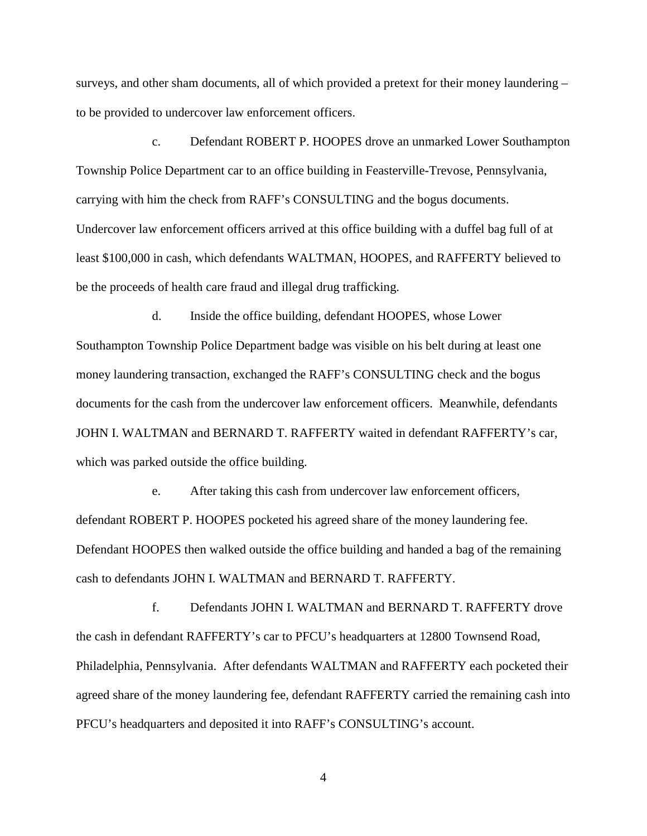surveys, and other sham documents, all of which provided a pretext for their money laundering – to be provided to undercover law enforcement officers.

c. Defendant ROBERT P. HOOPES drove an unmarked Lower Southampton Township Police Department car to an office building in Feasterville-Trevose, Pennsylvania, carrying with him the check from RAFF's CONSULTING and the bogus documents. Undercover law enforcement officers arrived at this office building with a duffel bag full of at least \$100,000 in cash, which defendants WALTMAN, HOOPES, and RAFFERTY believed to be the proceeds of health care fraud and illegal drug trafficking.

d. Inside the office building, defendant HOOPES, whose Lower Southampton Township Police Department badge was visible on his belt during at least one money laundering transaction, exchanged the RAFF's CONSULTING check and the bogus documents for the cash from the undercover law enforcement officers. Meanwhile, defendants JOHN I. WALTMAN and BERNARD T. RAFFERTY waited in defendant RAFFERTY's car, which was parked outside the office building.

e. After taking this cash from undercover law enforcement officers, defendant ROBERT P. HOOPES pocketed his agreed share of the money laundering fee. Defendant HOOPES then walked outside the office building and handed a bag of the remaining cash to defendants JOHN I. WALTMAN and BERNARD T. RAFFERTY.

f. Defendants JOHN I. WALTMAN and BERNARD T. RAFFERTY drove the cash in defendant RAFFERTY's car to PFCU's headquarters at 12800 Townsend Road, Philadelphia, Pennsylvania. After defendants WALTMAN and RAFFERTY each pocketed their agreed share of the money laundering fee, defendant RAFFERTY carried the remaining cash into PFCU's headquarters and deposited it into RAFF's CONSULTING's account.

4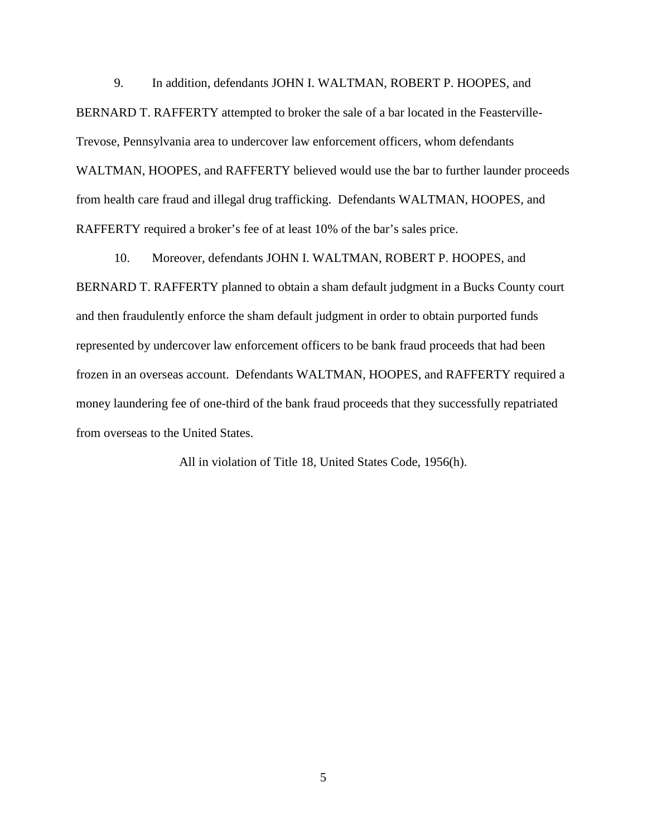9. In addition, defendants JOHN I. WALTMAN, ROBERT P. HOOPES, and BERNARD T. RAFFERTY attempted to broker the sale of a bar located in the Feasterville-Trevose, Pennsylvania area to undercover law enforcement officers, whom defendants WALTMAN, HOOPES, and RAFFERTY believed would use the bar to further launder proceeds from health care fraud and illegal drug trafficking. Defendants WALTMAN, HOOPES, and RAFFERTY required a broker's fee of at least 10% of the bar's sales price.

10. Moreover, defendants JOHN I. WALTMAN, ROBERT P. HOOPES, and BERNARD T. RAFFERTY planned to obtain a sham default judgment in a Bucks County court and then fraudulently enforce the sham default judgment in order to obtain purported funds represented by undercover law enforcement officers to be bank fraud proceeds that had been frozen in an overseas account. Defendants WALTMAN, HOOPES, and RAFFERTY required a money laundering fee of one-third of the bank fraud proceeds that they successfully repatriated from overseas to the United States.

All in violation of Title 18, United States Code, 1956(h).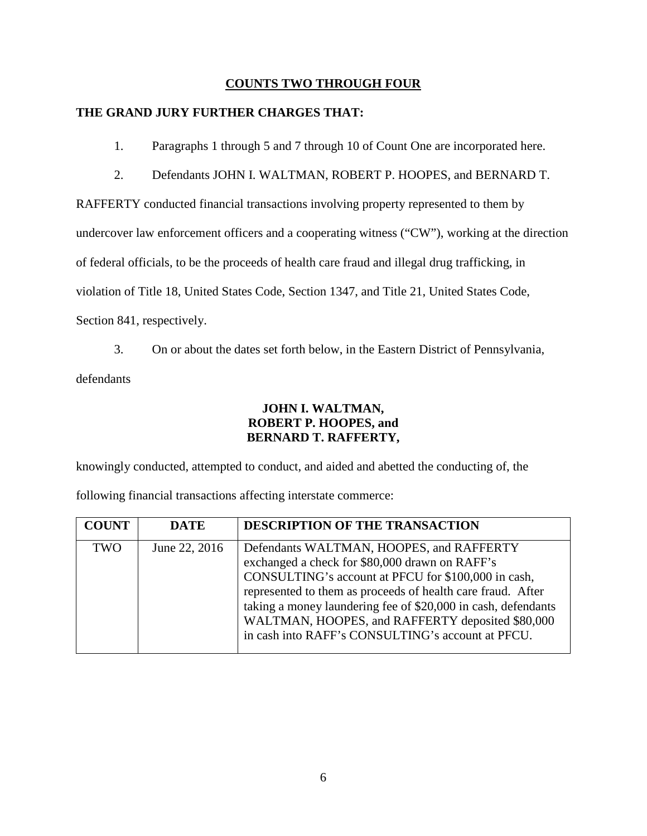## **COUNTS TWO THROUGH FOUR**

## **THE GRAND JURY FURTHER CHARGES THAT:**

- 1. Paragraphs 1 through 5 and 7 through 10 of Count One are incorporated here.
- 2. Defendants JOHN I. WALTMAN, ROBERT P. HOOPES, and BERNARD T.

RAFFERTY conducted financial transactions involving property represented to them by

undercover law enforcement officers and a cooperating witness ("CW"), working at the direction

of federal officials, to be the proceeds of health care fraud and illegal drug trafficking, in

violation of Title 18, United States Code, Section 1347, and Title 21, United States Code,

Section 841, respectively.

3. On or about the dates set forth below, in the Eastern District of Pennsylvania,

defendants

# **JOHN I. WALTMAN, ROBERT P. HOOPES, and BERNARD T. RAFFERTY,**

knowingly conducted, attempted to conduct, and aided and abetted the conducting of, the

following financial transactions affecting interstate commerce:

| <b>COUNT</b> | <b>DATE</b>   | DESCRIPTION OF THE TRANSACTION                                                                                                                                                                                                                                                                                                                                                             |
|--------------|---------------|--------------------------------------------------------------------------------------------------------------------------------------------------------------------------------------------------------------------------------------------------------------------------------------------------------------------------------------------------------------------------------------------|
| <b>TWO</b>   | June 22, 2016 | Defendants WALTMAN, HOOPES, and RAFFERTY<br>exchanged a check for \$80,000 drawn on RAFF's<br>CONSULTING's account at PFCU for \$100,000 in cash,<br>represented to them as proceeds of health care fraud. After<br>taking a money laundering fee of \$20,000 in cash, defendants<br>WALTMAN, HOOPES, and RAFFERTY deposited \$80,000<br>in cash into RAFF's CONSULTING's account at PFCU. |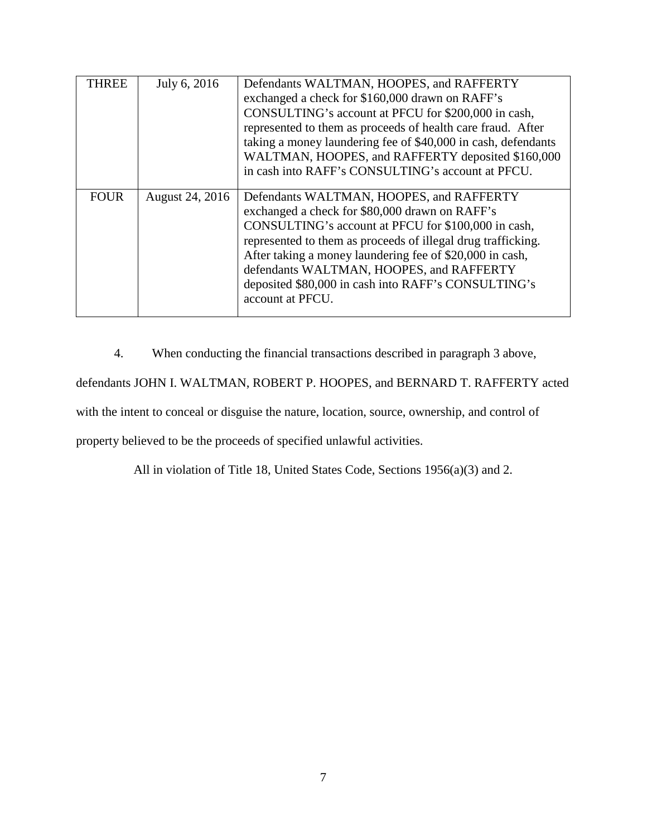| <b>THREE</b> | July 6, 2016    | Defendants WALTMAN, HOOPES, and RAFFERTY<br>exchanged a check for \$160,000 drawn on RAFF's<br>CONSULTING's account at PFCU for \$200,000 in cash,<br>represented to them as proceeds of health care fraud. After<br>taking a money laundering fee of \$40,000 in cash, defendants<br>WALTMAN, HOOPES, and RAFFERTY deposited \$160,000<br>in cash into RAFF's CONSULTING's account at PFCU.         |
|--------------|-----------------|------------------------------------------------------------------------------------------------------------------------------------------------------------------------------------------------------------------------------------------------------------------------------------------------------------------------------------------------------------------------------------------------------|
| <b>FOUR</b>  | August 24, 2016 | Defendants WALTMAN, HOOPES, and RAFFERTY<br>exchanged a check for \$80,000 drawn on RAFF's<br>CONSULTING's account at PFCU for \$100,000 in cash,<br>represented to them as proceeds of illegal drug trafficking.<br>After taking a money laundering fee of \$20,000 in cash,<br>defendants WALTMAN, HOOPES, and RAFFERTY<br>deposited \$80,000 in cash into RAFF's CONSULTING's<br>account at PFCU. |

4. When conducting the financial transactions described in paragraph 3 above, defendants JOHN I. WALTMAN, ROBERT P. HOOPES, and BERNARD T. RAFFERTY acted with the intent to conceal or disguise the nature, location, source, ownership, and control of property believed to be the proceeds of specified unlawful activities.

All in violation of Title 18, United States Code, Sections 1956(a)(3) and 2.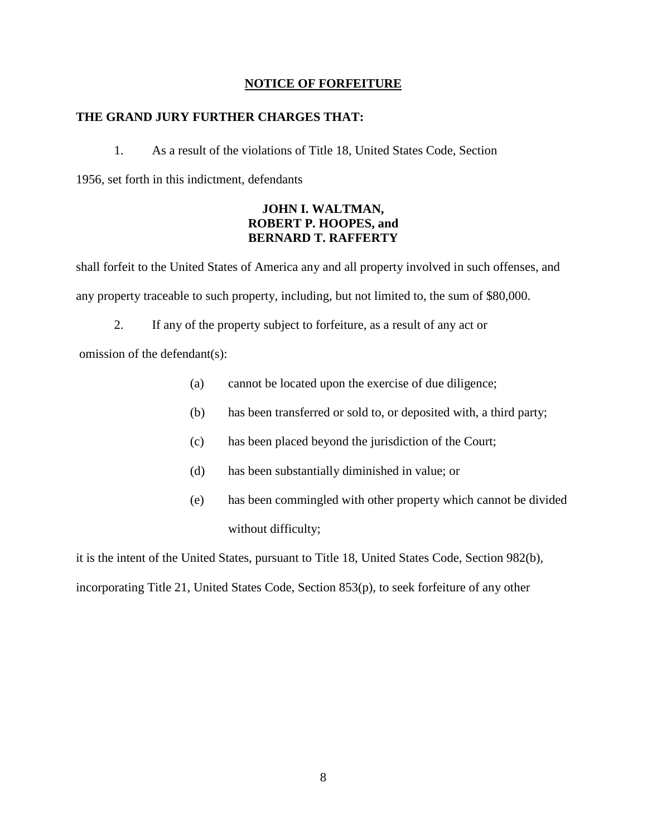### **NOTICE OF FORFEITURE**

### **THE GRAND JURY FURTHER CHARGES THAT:**

1. As a result of the violations of Title 18, United States Code, Section 1956, set forth in this indictment, defendants

## **JOHN I. WALTMAN, ROBERT P. HOOPES, and BERNARD T. RAFFERTY**

shall forfeit to the United States of America any and all property involved in such offenses, and any property traceable to such property, including, but not limited to, the sum of \$80,000.

2. If any of the property subject to forfeiture, as a result of any act or

omission of the defendant(s):

- (a) cannot be located upon the exercise of due diligence;
- (b) has been transferred or sold to, or deposited with, a third party;
- (c) has been placed beyond the jurisdiction of the Court;
- (d) has been substantially diminished in value; or
- (e) has been commingled with other property which cannot be divided without difficulty;

it is the intent of the United States, pursuant to Title 18, United States Code, Section 982(b), incorporating Title 21, United States Code, Section 853(p), to seek forfeiture of any other